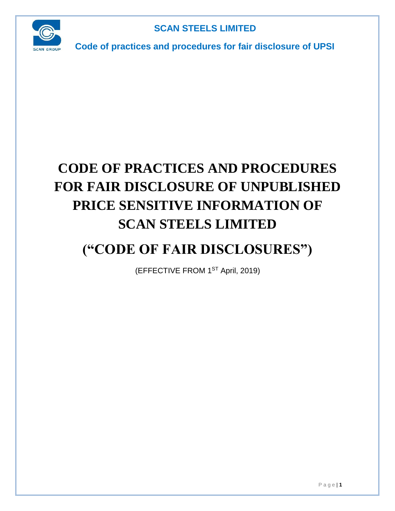

**Code of practices and procedures for fair disclosure of UPSI**

# **CODE OF PRACTICES AND PROCEDURES FOR FAIR DISCLOSURE OF UNPUBLISHED PRICE SENSITIVE INFORMATION OF SCAN STEELS LIMITED**

# **("CODE OF FAIR DISCLOSURES")**

(EFFECTIVE FROM 1ST April, 2019)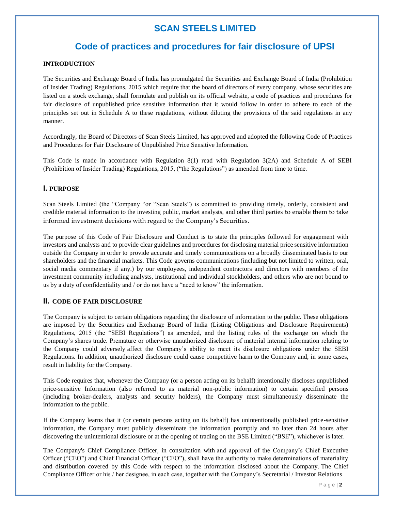### **Code of practices and procedures for fair disclosure of UPSI**

#### **INTRODUCTION**

The Securities and Exchange Board of India has promulgated the Securities and Exchange Board of India (Prohibition of Insider Trading) Regulations, 2015 which require that the board of directors of every company, whose securities are listed on a stock exchange, shall formulate and publish on its official website, a code of practices and procedures for fair disclosure of unpublished price sensitive information that it would follow in order to adhere to each of the principles set out in Schedule A to these regulations, without diluting the provisions of the said regulations in any manner.

Accordingly, the Board of Directors of Scan Steels Limited, has approved and adopted the following Code of Practices and Procedures for Fair Disclosure of Unpublished Price Sensitive Information.

This Code is made in accordance with Regulation 8(1) read with Regulation 3(2A) and Schedule A of SEBI (Prohibition of Insider Trading) Regulations, 2015, ("the Regulations") as amended from time to time.

#### **I. PURPOSE**

Scan Steels Limited (the "Company "or "Scan Steels") is committed to providing timely, orderly, consistent and credible material information to the investing public, market analysts, and other third parties to enable them to take informed investment decisions with regard to the Company's Securities.

The purpose of this Code of Fair Disclosure and Conduct is to state the principles followed for engagement with investors and analysts and to provide clear guidelines and procedures for disclosing material price sensitive information outside the Company in order to provide accurate and timely communications on a broadly disseminated basis to our shareholders and the financial markets. This Code governs communications (including but not limited to written, oral, social media commentary if any.) by our employees, independent contractors and directors with members of the investment community including analysts, institutional and individual stockholders, and others who are not bound to us by a duty of confidentiality and / or do not have a "need to know" the information.

#### **II. CODE OF FAIR DISCLOSURE**

The Company is subject to certain obligations regarding the disclosure of information to the public. These obligations are imposed by the Securities and Exchange Board of India (Listing Obligations and Disclosure Requirements) Regulations, 2015 (the "SEBI Regulations") as amended, and the listing rules of the exchange on which the Company's shares trade. Premature or otherwise unauthorized disclosure of material internal information relating to the Company could adversely affect the Company's ability to meet its disclosure obligations under the SEBI Regulations. In addition, unauthorized disclosure could cause competitive harm to the Company and, in some cases, result in liability for the Company.

This Code requires that, whenever the Company (or a person acting on its behalf) intentionally discloses unpublished price-sensitive Information (also referred to as material non-public information) to certain specified persons (including broker-dealers, analysts and security holders), the Company must simultaneously disseminate the information to the public.

If the Company learns that it (or certain persons acting on its behalf) has unintentionally published price-sensitive information, the Company must publicly disseminate the information promptly and no later than 24 hours after discovering the unintentional disclosure or at the opening of trading on the BSE Limited ("BSE"), whichever is later.

The Company's Chief Compliance Officer, in consultation with and approval of the Company's Chief Executive Officer ("CEO") and Chief Financial Officer ("CFO"), shall have the authority to make determinations of materiality and distribution covered by this Code with respect to the information disclosed about the Company. The Chief Compliance Officer or his / her designee, in each case, together with the Company's Secretarial / Investor Relations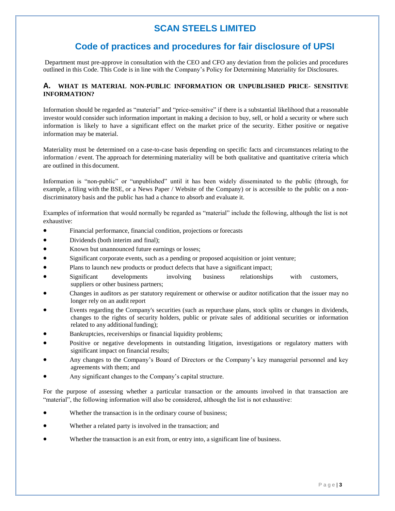### **Code of practices and procedures for fair disclosure of UPSI**

Department must pre-approve in consultation with the CEO and CFO any deviation from the policies and procedures outlined in this Code. This Code is in line with the Company's Policy for Determining Materiality for Disclosures.

#### **A. WHAT IS MATERIAL NON-PUBLIC INFORMATION OR UNPUBLISHED PRICE- SENSITIVE INFORMATION?**

Information should be regarded as "material" and "price-sensitive" if there is a substantial likelihood that a reasonable investor would consider such information important in making a decision to buy, sell, or hold a security or where such information is likely to have a significant effect on the market price of the security. Either positive or negative information may be material.

Materiality must be determined on a case-to-case basis depending on specific facts and circumstances relating to the information / event. The approach for determining materiality will be both qualitative and quantitative criteria which are outlined in this document.

Information is "non-public" or "unpublished" until it has been widely disseminated to the public (through, for example, a filing with the BSE, or a News Paper / Website of the Company) or is accessible to the public on a nondiscriminatory basis and the public has had a chance to absorb and evaluate it.

Examples of information that would normally be regarded as "material" include the following, although the list is not exhaustive:

- Financial performance, financial condition, projections or forecasts
- Dividends (both interim and final);
- Known but unannounced future earnings or losses;
- Significant corporate events, such as a pending or proposed acquisition or joint venture;
- Plans to launch new products or product defects that have a significant impact;
- Significant developments involving business relationships with customers, suppliers or other business partners;
- Changes in auditors as per statutory requirement or otherwise or auditor notification that the issuer may no longer rely on an audit report
- Events regarding the Company's securities (such as repurchase plans, stock splits or changes in dividends, changes to the rights of security holders, public or private sales of additional securities or information related to any additional funding);
- Bankruptcies, receiverships or financial liquidity problems;
- Positive or negative developments in outstanding litigation, investigations or regulatory matters with significant impact on financial results;
- Any changes to the Company's Board of Directors or the Company's key managerial personnel and key agreements with them; and
- Any significant changes to the Company's capital structure.

For the purpose of assessing whether a particular transaction or the amounts involved in that transaction are "material", the following information will also be considered, although the list is not exhaustive:

- Whether the transaction is in the ordinary course of business;
- Whether a related party is involved in the transaction; and
- Whether the transaction is an exit from, or entry into, a significant line of business.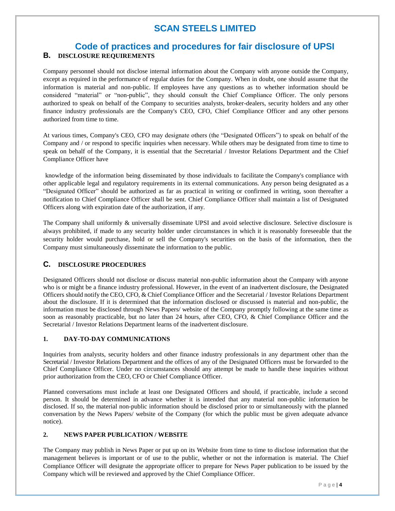### **Code of practices and procedures for fair disclosure of UPSI B. DISCLOSURE REQUIREMENTS**

Company personnel should not disclose internal information about the Company with anyone outside the Company, except as required in the performance of regular duties for the Company. When in doubt, one should assume that the information is material and non-public. If employees have any questions as to whether information should be considered "material" or "non-public", they should consult the Chief Compliance Officer. The only persons authorized to speak on behalf of the Company to securities analysts, broker-dealers, security holders and any other finance industry professionals are the Company's CEO, CFO, Chief Compliance Officer and any other persons authorized from time to time.

At various times, Company's CEO, CFO may designate others (the "Designated Officers") to speak on behalf of the Company and / or respond to specific inquiries when necessary. While others may be designated from time to time to speak on behalf of the Company, it is essential that the Secretarial / Investor Relations Department and the Chief Compliance Officer have

knowledge of the information being disseminated by those individuals to facilitate the Company's compliance with other applicable legal and regulatory requirements in its external communications. Any person being designated as a "Designated Officer" should be authorized as far as practical in writing or confirmed in writing, soon thereafter a notification to Chief Compliance Officer shall be sent. Chief Compliance Officer shall maintain a list of Designated Officers along with expiration date of the authorization, if any.

The Company shall uniformly & universally disseminate UPSI and avoid selective disclosure. Selective disclosure is always prohibited, if made to any security holder under circumstances in which it is reasonably foreseeable that the security holder would purchase, hold or sell the Company's securities on the basis of the information, then the Company must simultaneously disseminate the information to the public.

#### **C. DISCLOSURE PROCEDURES**

Designated Officers should not disclose or discuss material non-public information about the Company with anyone who is or might be a finance industry professional. However, in the event of an inadvertent disclosure, the Designated Officers should notify the CEO, CFO, & Chief Compliance Officer and the Secretarial / Investor Relations Department about the disclosure. If it is determined that the information disclosed or discussed is material and non-public, the information must be disclosed through News Papers/ website of the Company promptly following at the same time as soon as reasonably practicable, but no later than 24 hours, after CEO, CFO, & Chief Compliance Officer and the Secretarial / Investor Relations Department learns of the inadvertent disclosure.

#### **1. DAY-TO-DAY COMMUNICATIONS**

Inquiries from analysts, security holders and other finance industry professionals in any department other than the Secretarial / Investor Relations Department and the offices of any of the Designated Officers must be forwarded to the Chief Compliance Officer. Under no circumstances should any attempt be made to handle these inquiries without prior authorization from the CEO, CFO or Chief Compliance Officer.

Planned conversations must include at least one Designated Officers and should, if practicable, include a second person. It should be determined in advance whether it is intended that any material non-public information be disclosed. If so, the material non-public information should be disclosed prior to or simultaneously with the planned conversation by the News Papers/ website of the Company (for which the public must be given adequate advance notice).

#### **2. NEWS PAPER PUBLICATION / WEBSITE**

The Company may publish in News Paper or put up on its Website from time to time to disclose information that the management believes is important or of use to the public, whether or not the information is material. The Chief Compliance Officer will designate the appropriate officer to prepare for News Paper publication to be issued by the Company which will be reviewed and approved by the Chief Compliance Officer.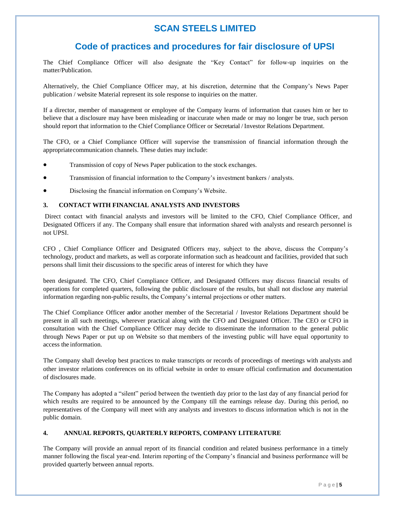# **Code of practices and procedures for fair disclosure of UPSI**

The Chief Compliance Officer will also designate the "Key Contact" for follow-up inquiries on the matter/Publication.

Alternatively, the Chief Compliance Officer may, at his discretion, determine that the Company's News Paper publication / website Material represent its sole response to inquiries on the matter.

If a director, member of management or employee of the Company learns of information that causes him or her to believe that a disclosure may have been misleading or inaccurate when made or may no longer be true, such person should report that information to the Chief Compliance Officer or Secretarial / Investor Relations Department.

The CFO, or a Chief Compliance Officer will supervise the transmission of financial information through the appropriatecommunication channels. These duties may include:

- Transmission of copy of News Paper publication to the stock exchanges.
- Transmission of financial information to the Company's investment bankers / analysts.
- Disclosing the financial information on Company's Website.

#### **3. CONTACT WITH FINANCIAL ANALYSTS AND INVESTORS**

Direct contact with financial analysts and investors will be limited to the CFO, Chief Compliance Officer, and Designated Officers if any. The Company shall ensure that information shared with analysts and research personnel is not UPSI.

CFO , Chief Compliance Officer and Designated Officers may, subject to the above, discuss the Company's technology, product and markets, as well as corporate information such as headcount and facilities, provided that such persons shall limit their discussions to the specific areas of interest for which they have

been designated. The CFO, Chief Compliance Officer, and Designated Officers may discuss financial results of operations for completed quarters, following the public disclosure of the results, but shall not disclose any material information regarding non-public results, the Company's internal projections or other matters.

The Chief Compliance Officer and/or another member of the Secretarial / Investor Relations Department should be present in all such meetings, wherever practical along with the CFO and Designated Officer. The CEO or CFO in consultation with the Chief Compliance Officer may decide to disseminate the information to the general public through News Paper or put up on Website so that members of the investing public will have equal opportunity to access the information.

The Company shall develop best practices to make transcripts or records of proceedings of meetings with analysts and other investor relations conferences on its official website in order to ensure official confirmation and documentation of disclosures made.

The Company has adopted a "silent" period between the twentieth day prior to the last day of any financial period for which results are required to be announced by the Company till the earnings release day. During this period, no representatives of the Company will meet with any analysts and investors to discuss information which is not in the public domain.

#### **4. ANNUAL REPORTS, QUARTERLY REPORTS, COMPANY LITERATURE**

The Company will provide an annual report of its financial condition and related business performance in a timely manner following the fiscal year-end. Interim reporting of the Company's financial and business performance will be provided quarterly between annual reports.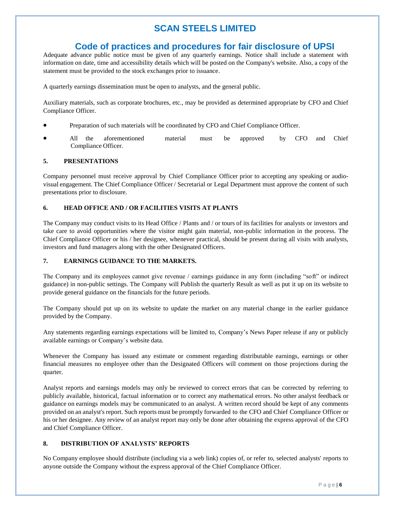### **Code of practices and procedures for fair disclosure of UPSI**

Adequate advance public notice must be given of any quarterly earnings. Notice shall include a statement with information on date, time and accessibility details which will be posted on the Company's website. Also, a copy of the statement must be provided to the stock exchanges prior to issuance.

A quarterly earnings dissemination must be open to analysts, and the general public.

Auxiliary materials, such as corporate brochures, etc., may be provided as determined appropriate by CFO and Chief Compliance Officer.

- Preparation of such materials will be coordinated by CFO and Chief Compliance Officer.
- All the aforementioned material must be approved by CFO and Chief Compliance Officer.

#### **5. PRESENTATIONS**

Company personnel must receive approval by Chief Compliance Officer prior to accepting any speaking or audiovisual engagement. The Chief Compliance Officer / Secretarial or Legal Department must approve the content of such presentations prior to disclosure.

#### **6. HEAD OFFICE AND / OR FACILITIES VISITS AT PLANTS**

The Company may conduct visits to its Head Office / Plants and / or tours of its facilities for analysts or investors and take care to avoid opportunities where the visitor might gain material, non-public information in the process. The Chief Compliance Officer or his / her designee, whenever practical, should be present during all visits with analysts, investors and fund managers along with the other Designated Officers.

#### **7. EARNINGS GUIDANCE TO THE MARKETS.**

The Company and its employees cannot give revenue / earnings guidance in any form (including "soft" or indirect guidance) in non-public settings. The Company will Publish the quarterly Result as well as put it up on its website to provide general guidance on the financials for the future periods.

The Company should put up on its website to update the market on any material change in the earlier guidance provided by the Company.

Any statements regarding earnings expectations will be limited to, Company's News Paper release if any or publicly available earnings or Company's website data.

Whenever the Company has issued any estimate or comment regarding distributable earnings, earnings or other financial measures no employee other than the Designated Officers will comment on those projections during the quarter.

Analyst reports and earnings models may only be reviewed to correct errors that can be corrected by referring to publicly available, historical, factual information or to correct any mathematical errors. No other analyst feedback or guidance on earnings models may be communicated to an analyst. A written record should be kept of any comments provided on an analyst's report. Such reports must be promptly forwarded to the CFO and Chief Compliance Officer or his or her designee. Any review of an analyst report may only be done after obtaining the express approval of the CFO and Chief Compliance Officer.

#### **8. DISTRIBUTION OF ANALYSTS' REPORTS**

No Company employee should distribute (including via a web link) copies of, or refer to, selected analysts' reports to anyone outside the Company without the express approval of the Chief Compliance Officer.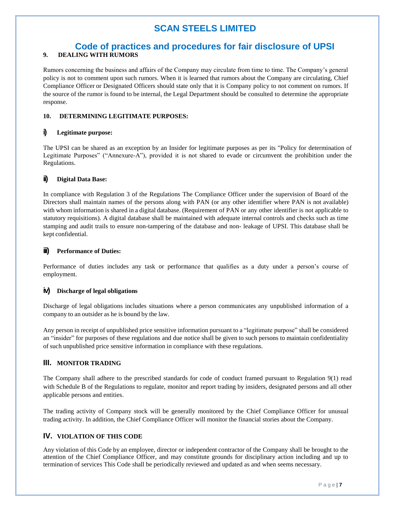### **Code of practices and procedures for fair disclosure of UPSI 9. DEALING WITH RUMORS**

Rumors concerning the business and affairs of the Company may circulate from time to time. The Company's general policy is not to comment upon such rumors. When it is learned that rumors about the Company are circulating, Chief Compliance Officer or Designated Officers should state only that it is Company policy to not comment on rumors. If the source of the rumor is found to be internal, the Legal Department should be consulted to determine the appropriate response.

#### **10. DETERMINING LEGITIMATE PURPOSES:**

#### **i) Legitimate purpose:**

The UPSI can be shared as an exception by an Insider for legitimate purposes as per its "Policy for determination of Legitimate Purposes" ("Annexure-A"), provided it is not shared to evade or circumvent the prohibition under the Regulations.

#### **ii) Digital Data Base:**

In compliance with Regulation 3 of the Regulations The Compliance Officer under the supervision of Board of the Directors shall maintain names of the persons along with PAN (or any other identifier where PAN is not available) with whom information is shared in a digital database. (Requirement of PAN or any other identifier is not applicable to statutory requisitions). A digital database shall be maintained with adequate internal controls and checks such as time stamping and audit trails to ensure non-tampering of the database and non- leakage of UPSI. This database shall be kept confidential.

#### **iii) Performance of Duties:**

Performance of duties includes any task or performance that qualifies as a duty under a person's course of employment.

#### **iv) Discharge of legal obligations**

Discharge of legal obligations includes situations where a person communicates any unpublished information of a company to an outsider as he is bound by the law.

Any person in receipt of unpublished price sensitive information pursuant to a "legitimate purpose" shall be considered an "insider" for purposes of these regulations and due notice shall be given to such persons to maintain confidentiality of such unpublished price sensitive information in compliance with these regulations.

#### **III. MONITOR TRADING**

The Company shall adhere to the prescribed standards for code of conduct framed pursuant to Regulation 9(1) read with Schedule B of the Regulations to regulate, monitor and report trading by insiders, designated persons and all other applicable persons and entities.

The trading activity of Company stock will be generally monitored by the Chief Compliance Officer for unusual trading activity. In addition, the Chief Compliance Officer will monitor the financial stories about the Company.

#### **IV. VIOLATION OF THIS CODE**

Any violation of this Code by an employee, director or independent contractor of the Company shall be brought to the attention of the Chief Compliance Officer, and may constitute grounds for disciplinary action including and up to termination of services This Code shall be periodically reviewed and updated as and when seems necessary.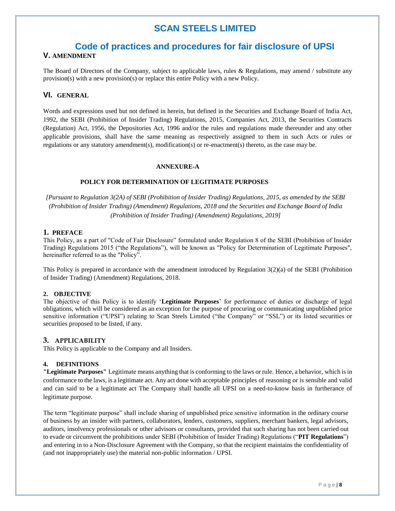### **Code of practices and procedures for fair disclosure of UPSI**

#### **V. AMENDMENT**

The Board of Directors of the Company, subject to applicable laws, rules & Regulations, may amend / substitute any provision(s) with a new provision(s) or replace this entire Policy with a new Policy.

#### **VI. GENERAL**

Words and expressions used but not defined in herein, but defined in the Securities and Exchange Board of India Act, 1992, the SEBI (Prohibition of Insider Trading) Regulations, 2015, Companies Act, 2013, the Securities Contracts (Regulation) Act, 1956, the Depositories Act, 1996 and/or the rules and regulations made thereunder and any other applicable provisions, shall have the same meaning as respectively assigned to them in such Acts or rules or regulations or any statutory amendment(s), modification(s) or re-enactment(s) thereto, as the case may be.

#### **ANNEXURE-A**

#### **POLICY FOR DETERMINATION OF LEGITIMATE PURPOSES**

*[Pursuant to Regulation 3(2A) of SEBI (Prohibition of Insider Trading) Regulations, 2015, as amended by the SEBI (Prohibition of Insider Trading) (Amendment) Regulations, 2018 and the Securities and Exchange Board of India (Prohibition of Insider Trading) (Amendment) Regulations, 2019]*

#### **1. PREFACE**

This Policy, as a part of "Code of Fair Disclosure" formulated under Regulation 8 of the SEBI (Prohibition of Insider Trading) Regulations 2015 ("the Regulations"), will be known as "Policy for Determination of Legitimate Purposes", hereinafter referred to as the "Policy".

This Policy is prepared in accordance with the amendment introduced by Regulation 3(2)(a) of the SEBI (Prohibition of Insider Trading) (Amendment) Regulations, 2018.

#### **2. OBJECTIVE**

The objective of this Policy is to identify '**Legitimate Purposes**' for performance of duties or discharge of legal obligations, which will be considered as an exception for the purpose of procuring or communicating unpublished price sensitive information ("UPSI") relating to Scan Steels Limited ("the Company" or "SSL") or its listed securities or securities proposed to be listed, if any.

#### **3. APPLICABILITY**

This Policy is applicable to the Company and all Insiders.

#### **4. DEFINITIONS**

**"Legitimate Purposes"** Legitimate means anything that is conforming to the laws or rule. Hence, a behavior, which isin conformance to the laws, is a legitimate act. Any act done with acceptable principles of reasoning or is sensible and valid and can said to be a legitimate act The Company shall handle all UPSI on a need-to-know basis in furtherance of legitimate purpose.

The term "legitimate purpose" shall include sharing of unpublished price sensitive information in the ordinary course of business by an insider with partners, collaborators, lenders, customers, suppliers, merchant bankers, legal advisors, auditors, insolvency professionals or other advisors or consultants, provided that such sharing has not been carried out to evade or circumvent the prohibitions under SEBI (Prohibition of Insider Trading) Regulations ("**PIT Regulations**") and entering in to a Non-Disclosure Agreement with the Company, so that the recipient maintains the confidentiality of (and not inappropriately use) the material non-public information / UPSI.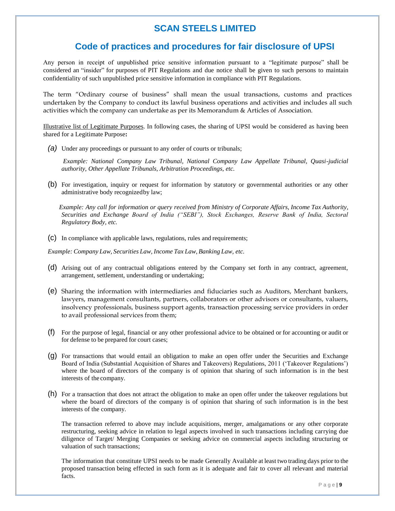### **Code of practices and procedures for fair disclosure of UPSI**

Any person in receipt of unpublished price sensitive information pursuant to a "legitimate purpose" shall be considered an "insider" for purposes of PIT Regulations and due notice shall be given to such persons to maintain confidentiality of such unpublished price sensitive information in compliance with PIT Regulations.

The term "Ordinary course of business" shall mean the usual transactions, customs and practices undertaken by the Company to conduct its lawful business operations and activities and includes all such activities which the company can undertake as per its Memorandum & Articles of Association.

Illustrative list of Legitimate Purposes. In following cases, the sharing of UPSI would be considered as having been shared for a Legitimate Purpose**:**

*(a)* Under any proceedings or pursuant to any order of courts or tribunals;

*Example: National Company Law Tribunal, National Company Law Appellate Tribunal, Quasi-judicial authority, Other Appellate Tribunals, Arbitration Proceedings, etc.*

(b) For investigation, inquiry or request for information by statutory or governmental authorities or any other administrative body recognizedby law;

 *Example: Any call for information or query received from Ministry of Corporate Affairs, Income Tax Authority, Securities and Exchange Board of India ("SEBI"), Stock Exchanges, Reserve Bank of India, Sectoral Regulatory Body, etc.*

(c) In compliance with applicable laws, regulations, rules and requirements;

*Example: Company Law, Securities Law, Income Tax Law, Banking Law, etc.*

- (d) Arising out of any contractual obligations entered by the Company set forth in any contract, agreement, arrangement, settlement, understanding or undertaking;
- (e) Sharing the information with intermediaries and fiduciaries such as Auditors, Merchant bankers, lawyers, management consultants, partners, collaborators or other advisors or consultants, valuers, insolvency professionals, business support agents, transaction processing service providers in order to avail professional services from them;
- (f) For the purpose of legal, financial or any other professional advice to be obtained or for accounting or audit or for defense to be prepared for court cases;
- (g) For transactions that would entail an obligation to make an open offer under the Securities and Exchange Board of India (Substantial Acquisition of Shares and Takeovers) Regulations, 2011 ('Takeover Regulations') where the board of directors of the company is of opinion that sharing of such information is in the best interests of the company.
- (h) For a transaction that does not attract the obligation to make an open offer under the takeover regulations but where the board of directors of the company is of opinion that sharing of such information is in the best interests of the company.

The transaction referred to above may include acquisitions, merger, amalgamations or any other corporate restructuring, seeking advice in relation to legal aspects involved in such transactions including carrying due diligence of Target/ Merging Companies or seeking advice on commercial aspects including structuring or valuation of such transactions;

The information that constitute UPSI needs to be made Generally Available at least two trading days prior to the proposed transaction being effected in such form as it is adequate and fair to cover all relevant and material facts.